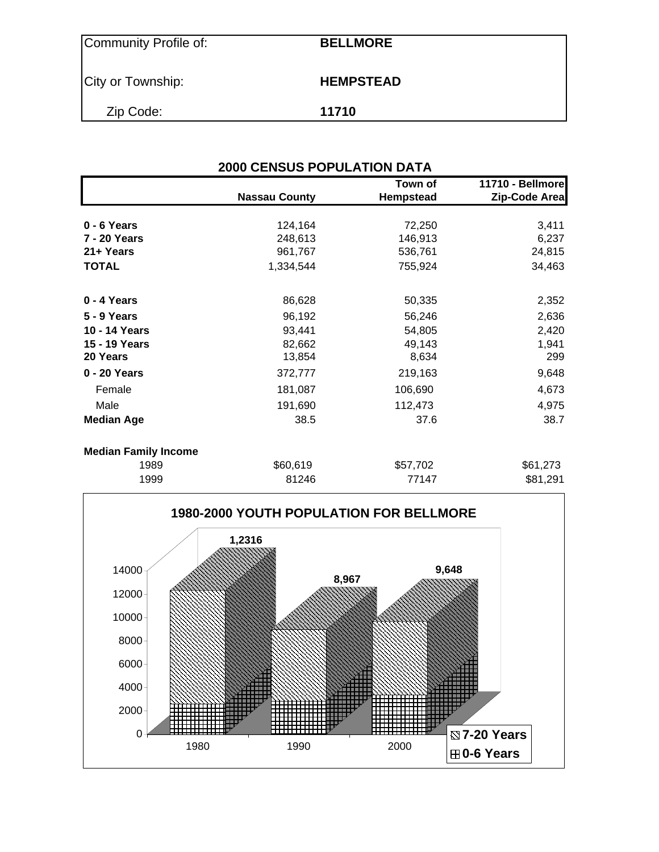| Community Profile of: | <b>BELLMORE</b>  |
|-----------------------|------------------|
| City or Township:     | <b>HEMPSTEAD</b> |
| Zip Code:             | 11710            |

|                             | <b>2000 CENSUS POPULATION DATA</b> |                             |                                   |  |  |  |  |  |  |
|-----------------------------|------------------------------------|-----------------------------|-----------------------------------|--|--|--|--|--|--|
|                             | <b>Nassau County</b>               | Town of<br><b>Hempstead</b> | 11710 - Bellmore<br>Zip-Code Area |  |  |  |  |  |  |
| 0 - 6 Years                 | 124,164                            | 72,250                      | 3,411                             |  |  |  |  |  |  |
| 7 - 20 Years                | 248,613                            | 146,913                     | 6,237                             |  |  |  |  |  |  |
| 21+ Years                   | 961,767                            | 536,761                     | 24,815                            |  |  |  |  |  |  |
| <b>TOTAL</b>                | 1,334,544                          | 755,924                     | 34,463                            |  |  |  |  |  |  |
| 0 - 4 Years                 | 86,628                             | 50,335                      | 2,352                             |  |  |  |  |  |  |
| <b>5 - 9 Years</b>          | 96,192                             | 56,246                      | 2,636                             |  |  |  |  |  |  |
| 10 - 14 Years               | 93,441                             | 54,805                      | 2,420                             |  |  |  |  |  |  |
| 15 - 19 Years               | 82,662                             | 49,143                      | 1,941                             |  |  |  |  |  |  |
| 20 Years                    | 13,854                             | 8,634                       | 299                               |  |  |  |  |  |  |
| 0 - 20 Years                | 372,777                            | 219,163                     | 9,648                             |  |  |  |  |  |  |
| Female                      | 181,087                            | 106,690                     | 4,673                             |  |  |  |  |  |  |
| Male                        | 191,690                            | 112,473                     | 4,975                             |  |  |  |  |  |  |
| <b>Median Age</b>           | 38.5                               | 37.6                        | 38.7                              |  |  |  |  |  |  |
| <b>Median Family Income</b> |                                    |                             |                                   |  |  |  |  |  |  |
| 1989                        | \$60,619                           | \$57,702                    | \$61,273                          |  |  |  |  |  |  |
| 1000                        | 04 7 A C                           | 77447                       | 001.OO1                           |  |  |  |  |  |  |

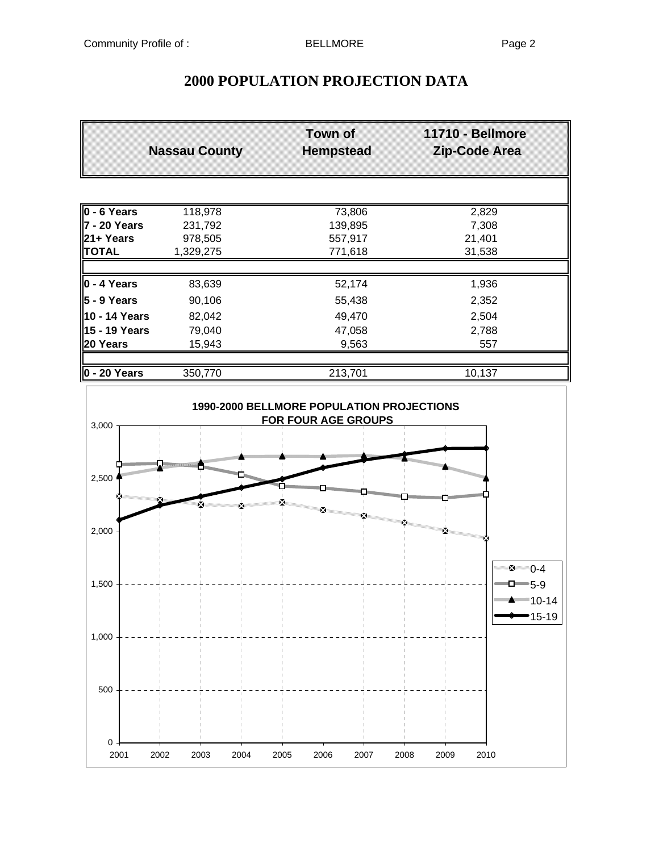### **2000 POPULATION PROJECTION DATA**

|                      | <b>Nassau County</b> | <b>Town of</b><br><b>Hempstead</b> | 11710 - Bellmore<br><b>Zip-Code Area</b> |
|----------------------|----------------------|------------------------------------|------------------------------------------|
|                      |                      |                                    |                                          |
| $0 - 6$ Years        | 118,978              | 73,806                             | 2,829                                    |
| 7 - 20 Years         | 231,792              | 139,895                            | 7,308                                    |
| l21+ Years           | 978,505              | 557,917                            | 21,401                                   |
| <b>TOTAL</b>         | 1,329,275            | 771,618                            | 31,538                                   |
|                      |                      |                                    |                                          |
| $0 - 4$ Years        | 83,639               | 52,174                             | 1,936                                    |
| 5 - 9 Years          | 90,106               | 55,438                             | 2,352                                    |
| 10 - 14 Years        | 82,042               | 49,470                             | 2,504                                    |
| 15 - 19 Years        | 79,040               | 47,058                             | 2,788                                    |
| 20 Years             | 15,943               | 9,563                              | 557                                      |
|                      |                      |                                    |                                          |
| $\vert$ 0 - 20 Years | 350,770              | 213,701                            | 10,137                                   |

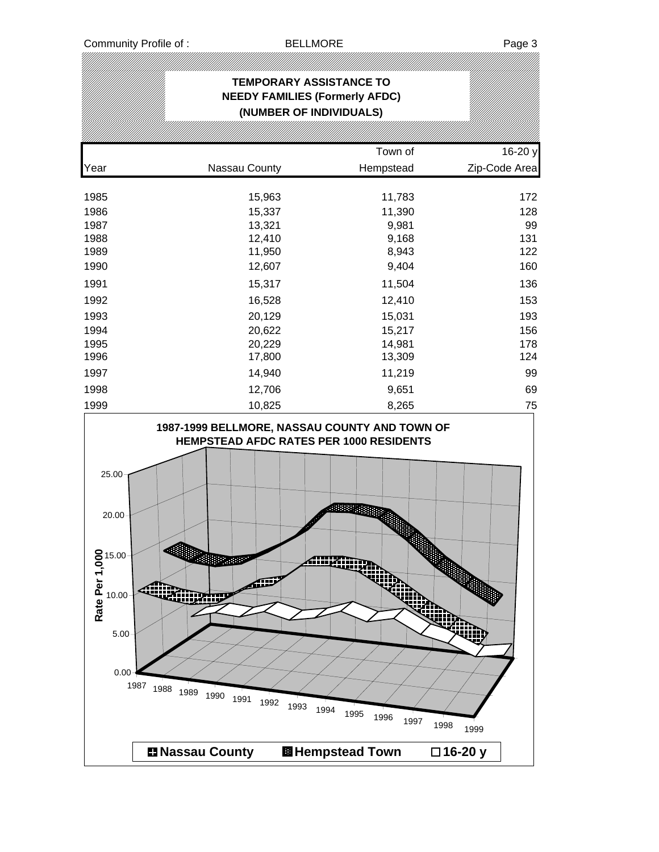|                                                                               |                                                                                                                                       | <b>TEMPORARY ASSISTANCE TO</b><br><b>NEEDY FAMILIES (Formerly AFDC)</b><br>(NUMBER OF INDIVIDUALS) |              |               |
|-------------------------------------------------------------------------------|---------------------------------------------------------------------------------------------------------------------------------------|----------------------------------------------------------------------------------------------------|--------------|---------------|
|                                                                               |                                                                                                                                       |                                                                                                    |              |               |
|                                                                               |                                                                                                                                       |                                                                                                    | Town of      | 16-20 y       |
| Year                                                                          | Nassau County                                                                                                                         |                                                                                                    | Hempstead    | Zip-Code Area |
| 1985                                                                          | 15,963                                                                                                                                |                                                                                                    | 11,783       | 172           |
| 1986                                                                          | 15,337                                                                                                                                |                                                                                                    | 11,390       | 128           |
| 1987                                                                          | 13,321                                                                                                                                |                                                                                                    | 9,981        | 99            |
| 1988                                                                          | 12,410                                                                                                                                |                                                                                                    | 9,168        | 131           |
| 1989                                                                          | 11,950                                                                                                                                |                                                                                                    | 8,943        | 122           |
| 1990                                                                          | 12,607                                                                                                                                |                                                                                                    | 9,404        | 160           |
| 1991                                                                          | 15,317                                                                                                                                |                                                                                                    | 11,504       | 136           |
| 1992                                                                          | 16,528                                                                                                                                |                                                                                                    | 12,410       | 153           |
| 1993                                                                          | 20,129                                                                                                                                |                                                                                                    | 15,031       | 193           |
| 1994                                                                          | 20,622                                                                                                                                |                                                                                                    | 15,217       | 156           |
| 1995                                                                          | 20,229                                                                                                                                |                                                                                                    | 14,981       | 178           |
| 1996                                                                          | 17,800                                                                                                                                |                                                                                                    | 13,309       | 124           |
| 1997                                                                          | 14,940                                                                                                                                |                                                                                                    | 11,219       | 99            |
| 1998                                                                          | 12,706                                                                                                                                |                                                                                                    | 9,651        | 69            |
| 1999                                                                          | 10,825                                                                                                                                |                                                                                                    | 8,265        | 75            |
| 25.00<br>20.00<br>$15.00 -$<br>Rate Per 1,00<br>10.00<br>5.00<br>0.00<br>1987 | HEMPSTEAD AFDC RATES PER 1000 RESIDENTS<br><b>ASSESSMENT</b><br>⋒<br>4î.<br><b>Ailine Hop</b><br>1988<br>1989<br>1990<br>1991<br>1992 | 3889911111111<br><b>Allianning</b><br>1993<br>1994<br>1995                                         | 1996<br>1997 | 1998<br>1999  |
|                                                                               | <b>■ Nassau County</b>                                                                                                                | <b>图 Hempstead Town</b>                                                                            |              | □16-20 y      |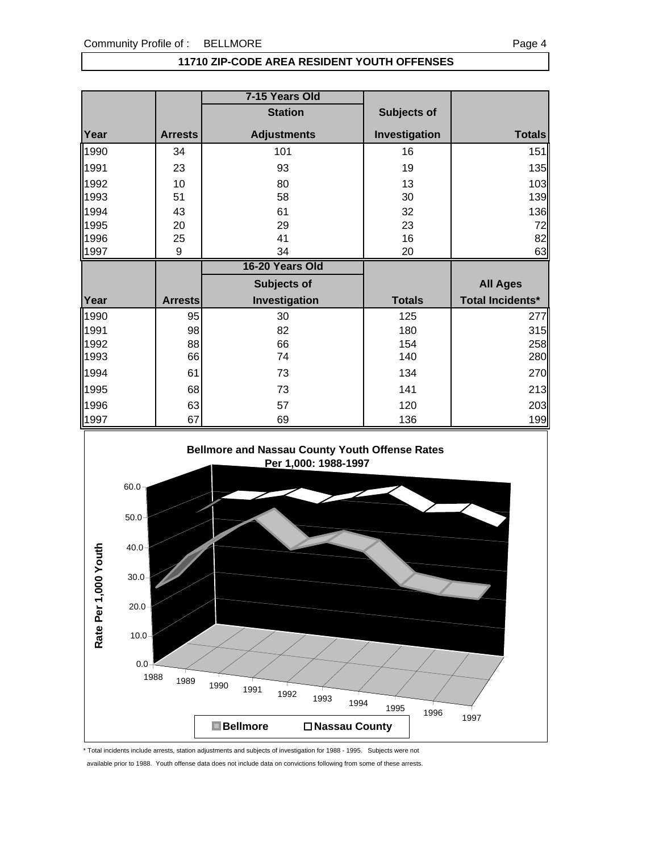### **11710 ZIP-CODE AREA RESIDENT YOUTH OFFENSES**

|              |                | 7-15 Years Old     |                    |                          |
|--------------|----------------|--------------------|--------------------|--------------------------|
|              |                | <b>Station</b>     | <b>Subjects of</b> |                          |
| Year         | <b>Arrests</b> | <b>Adjustments</b> | Investigation      | <b>Totals</b>            |
| 1990         | 34             | 101                | 16                 | 151                      |
| 1991         | 23             | 93                 | 19                 | 135                      |
| 1992<br>1993 | 10<br>51       | 80<br>58           | 13<br>30           | 103<br>139               |
| 1994         | 43             | 61                 | 32                 | 136                      |
| 1995         | 20             | 29                 | 23                 | 72                       |
| 1996         | 25             | 41                 | 16                 | 82                       |
| 1997         | 9              | 34                 | 20                 | 63                       |
|              |                |                    |                    |                          |
|              |                | 16-20 Years Old    |                    |                          |
|              |                | Subjects of        |                    | <b>All Ages</b>          |
| Year         | <b>Arrests</b> | Investigation      | <b>Totals</b>      | <b>Total Incidents*</b>  |
|              | 95             | 30                 | 125                | 277                      |
| 1990<br>1991 | 98             | 82                 | 180                |                          |
| 1992         | 88             | 66                 | 154                | 315<br>258               |
| 1993         | 66             | 74                 | 140                |                          |
|              | 61             | 73                 | 134                |                          |
| 1994<br>1995 | 68             | 73                 | 141                |                          |
| 1996         | 63             | 57                 | 120                | 280<br>270<br>213<br>203 |



\* Total incidents include arrests, station adjustments and subjects of investigation for 1988 - 1995. Subjects were not

available prior to 1988. Youth offense data does not include data on convictions following from some of these arrests.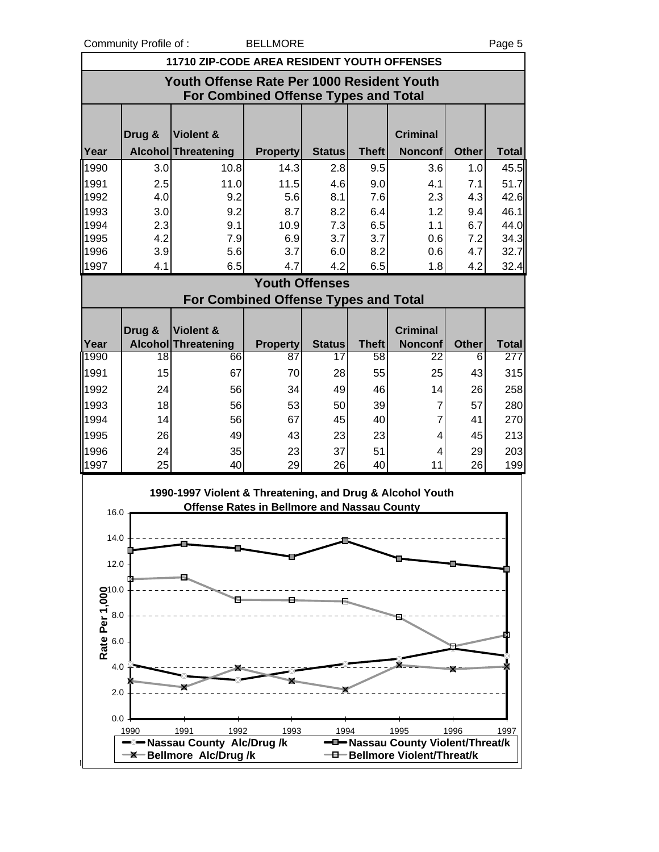Community Profile of : BELLMORE **Page 5** 

|                                     | 11710 ZIP-CODE AREA RESIDENT YOUTH OFFENSES                                        |                                                                                                                 |                       |                     |                    |                                           |              |                     |  |
|-------------------------------------|------------------------------------------------------------------------------------|-----------------------------------------------------------------------------------------------------------------|-----------------------|---------------------|--------------------|-------------------------------------------|--------------|---------------------|--|
|                                     | Youth Offense Rate Per 1000 Resident Youth<br>For Combined Offense Types and Total |                                                                                                                 |                       |                     |                    |                                           |              |                     |  |
|                                     |                                                                                    |                                                                                                                 |                       |                     |                    |                                           |              |                     |  |
|                                     | Drug &                                                                             | Violent &                                                                                                       |                       |                     |                    | <b>Criminal</b>                           |              |                     |  |
| Year                                |                                                                                    | Alcohol Threatening                                                                                             | <b>Property</b>       | <b>Status</b>       | <b>Theft</b>       | <b>Nonconf</b>                            | <b>Other</b> | <b>Total</b>        |  |
| 1990                                | 3.0                                                                                | 10.8                                                                                                            | 14.3                  | 2.8                 | 9.5                | 3.6                                       | 1.0          | 45.5                |  |
| 1991                                | 2.5                                                                                | 11.0                                                                                                            | 11.5                  | 4.6                 | 9.0                | 4.1                                       | 7.1          | 51.7                |  |
| 1992                                | 4.0                                                                                | 9.2                                                                                                             | 5.6                   | 8.1                 | 7.6                | 2.3                                       | 4.3          | 42.6                |  |
| 1993                                | 3.0                                                                                | 9.2                                                                                                             | 8.7                   | 8.2                 | 6.4                | 1.2                                       | 9.4          | 46.1                |  |
| 1994<br>1995                        | 2.3<br>4.2                                                                         | 9.1<br>7.9                                                                                                      | 10.9<br>6.9           | 7.3<br>3.7          | 6.5<br>3.7         | 1.1<br>0.6                                | 6.7<br>7.2   | 44.0<br>34.3        |  |
| 1996                                | 3.9                                                                                | 5.6                                                                                                             | 3.7                   | 6.0                 | 8.2                | 0.6                                       | 4.7          | 32.7                |  |
| 1997                                | 4.1                                                                                | 6.5                                                                                                             | 4.7                   | 4.2                 | 6.5                | 1.8                                       | 4.2          | 32.4                |  |
|                                     |                                                                                    |                                                                                                                 | <b>Youth Offenses</b> |                     |                    |                                           |              |                     |  |
|                                     |                                                                                    | <b>For Combined Offense Types and Total</b>                                                                     |                       |                     |                    |                                           |              |                     |  |
|                                     |                                                                                    |                                                                                                                 |                       |                     |                    |                                           |              |                     |  |
| Year                                | Drug &                                                                             | Violent &                                                                                                       |                       |                     |                    | <b>Criminal</b>                           | <b>Other</b> |                     |  |
| 1990                                | 18                                                                                 | <b>Alcohol Threatening</b><br>66                                                                                | <b>Property</b><br>87 | <b>Status</b><br>17 | <b>Theft</b><br>58 | <b>Nonconf</b><br>22                      | 6            | <b>Total</b><br>277 |  |
| 1991                                | 15                                                                                 | 67                                                                                                              | 70                    | 28                  | 55                 | 25                                        | 43           | 315                 |  |
| 1992                                | 24                                                                                 | 56                                                                                                              | 34                    | 49                  | 46                 | 14                                        | 26           | 258                 |  |
| 1993                                | 18                                                                                 | 56                                                                                                              | 53                    | 50                  | 39                 | 7                                         | 57           | 280                 |  |
| 1994                                | 14                                                                                 | 56                                                                                                              | 67                    | 45                  | 40                 | $\overline{7}$                            | 41           | 270                 |  |
| 1995                                | 26                                                                                 | 49                                                                                                              | 43                    | 23                  | 23                 | 4                                         | 45           | 213                 |  |
| 1996                                | 24                                                                                 | 35                                                                                                              | 23                    | 37                  | 51                 | 4                                         | 29           | 203                 |  |
| 1997                                | 25                                                                                 | 40                                                                                                              | 29                    | 26                  | 40                 | 11                                        | 26           | 199                 |  |
| 16.0                                |                                                                                    | 1990-1997 Violent & Threatening, and Drug & Alcohol Youth<br><b>Offense Rates in Bellmore and Nassau County</b> |                       |                     |                    |                                           |              |                     |  |
|                                     |                                                                                    |                                                                                                                 |                       |                     |                    |                                           |              |                     |  |
| 14.0                                |                                                                                    |                                                                                                                 |                       |                     |                    |                                           |              |                     |  |
| 12.0                                |                                                                                    |                                                                                                                 |                       |                     |                    |                                           |              |                     |  |
|                                     |                                                                                    |                                                                                                                 |                       |                     |                    |                                           |              |                     |  |
| <b>Rate Per 1,000</b><br>6.0<br>6.0 |                                                                                    |                                                                                                                 |                       |                     |                    |                                           |              |                     |  |
|                                     |                                                                                    |                                                                                                                 |                       |                     |                    |                                           |              |                     |  |
|                                     |                                                                                    |                                                                                                                 |                       |                     |                    |                                           |              |                     |  |
|                                     |                                                                                    |                                                                                                                 |                       |                     |                    |                                           |              |                     |  |
|                                     |                                                                                    |                                                                                                                 |                       |                     |                    |                                           |              |                     |  |
| 4.0                                 |                                                                                    |                                                                                                                 |                       |                     |                    |                                           |              |                     |  |
| 2.0                                 |                                                                                    |                                                                                                                 |                       |                     |                    |                                           |              |                     |  |
|                                     |                                                                                    |                                                                                                                 |                       |                     |                    |                                           |              |                     |  |
| 0.0                                 |                                                                                    |                                                                                                                 |                       |                     |                    |                                           |              |                     |  |
|                                     | 1990                                                                               | 1991<br>1992<br>-⊠ Nassau County Alc/Drug/k                                                                     | 1993                  | 1994                |                    | 1995<br>-D-Nassau County Violent/Threat/k | 1996         | 1997                |  |
|                                     |                                                                                    | <b>-X-Bellmore Alc/Drug/k</b>                                                                                   |                       |                     |                    | -D-Bellmore Violent/Threat/k              |              |                     |  |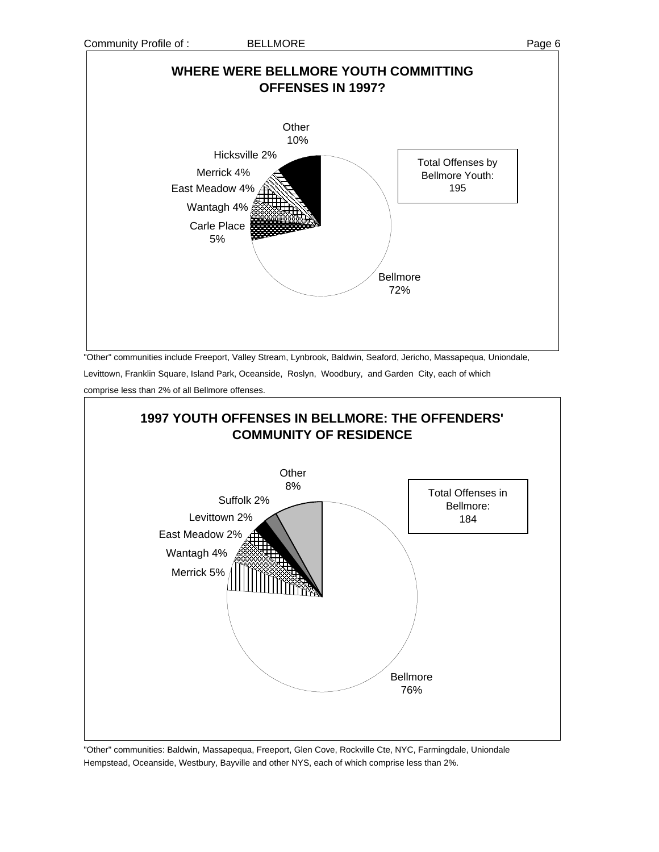# **WHERE WERE BELLMORE YOUTH COMMITTING OFFENSES IN 1997?**



"Other" communities include Freeport, Valley Stream, Lynbrook, Baldwin, Seaford, Jericho, Massapequa, Uniondale,

Levittown, Franklin Square, Island Park, Oceanside, Roslyn, Woodbury, and Garden City, each of which

comprise less than 2% of all Bellmore offenses.



"Other" communities: Baldwin, Massapequa, Freeport, Glen Cove, Rockville Cte, NYC, Farmingdale, Uniondale Hempstead, Oceanside, Westbury, Bayville and other NYS, each of which comprise less than 2%.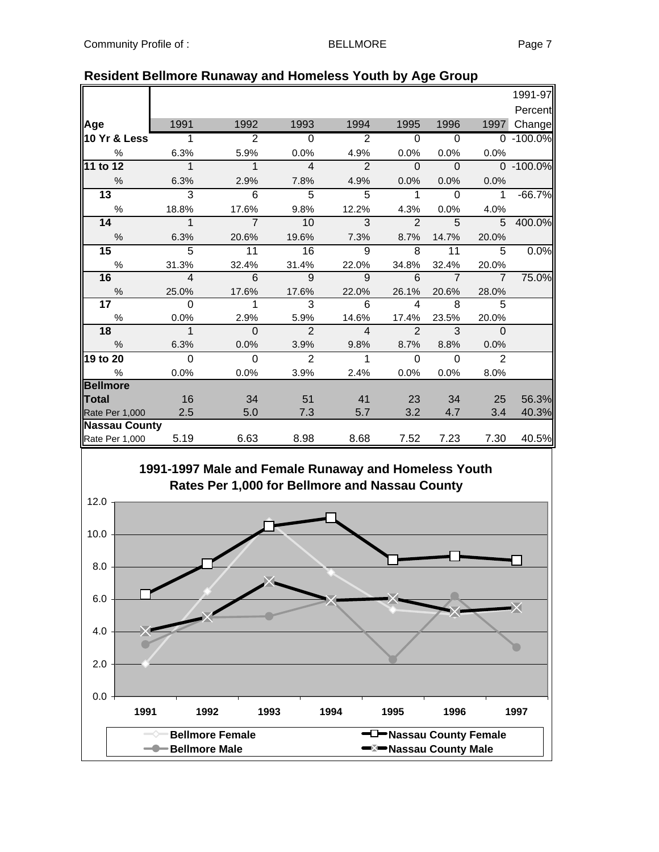|                      |                          |                |                |                |                          |                |                | 1991-97       |
|----------------------|--------------------------|----------------|----------------|----------------|--------------------------|----------------|----------------|---------------|
|                      |                          |                |                |                |                          |                |                | Percent       |
| Age                  | 1991                     | 1992           | 1993           | 1994           | 1995                     | 1996           | 1997           | Change        |
| 10 Yr & Less         | $\overline{1}$           | $\overline{2}$ | $\overline{0}$ | $\overline{2}$ | $\overline{0}$           | $\overline{0}$ |                | $0 - 100.0\%$ |
| %                    | 6.3%                     | 5.9%           | 0.0%           | 4.9%           | 0.0%                     | 0.0%           | 0.0%           |               |
| 11 to 12             | $\overline{1}$           | $\mathbf 1$    | $\overline{4}$ | $\mathfrak{p}$ | $\Omega$                 | $\Omega$       |                | 0 -100.0%     |
| $\frac{0}{0}$        | 6.3%                     | 2.9%           | 7.8%           | 4.9%           | 0.0%                     | 0.0%           | 0.0%           |               |
| $\overline{13}$      | $\overline{3}$           | 6              | $\overline{5}$ | 5              | $\mathbf{1}$             | $\Omega$       | $\mathbf{1}$   | $-66.7%$      |
| %                    | 18.8%                    | 17.6%          | 9.8%           | 12.2%          | 4.3%                     | 0.0%           | 4.0%           |               |
| 14                   | $\mathbf{1}$             | $\overline{7}$ | 10             | 3              | $\overline{2}$           | 5              | 5              | 400.0%        |
| $\%$                 | 6.3%                     | 20.6%          | 19.6%          | 7.3%           | 8.7%                     | 14.7%          | 20.0%          |               |
| 15                   | $\overline{5}$           | 11             | 16             | 9              | 8                        | 11             | 5              | 0.0%          |
| $\%$                 | 31.3%                    | 32.4%          | 31.4%          | 22.0%          | 34.8%                    | 32.4%          | 20.0%          |               |
| 16                   | $\overline{\phantom{a}}$ | 6              | 9              | 9              | 6                        | $\overline{7}$ | $\overline{7}$ | 75.0%         |
| $\frac{6}{6}$        | 25.0%                    | 17.6%          | 17.6%          | 22.0%          | 26.1%                    | 20.6%          | 28.0%          |               |
| 17 <sub>1</sub>      | $\Omega$                 | 1              | 3              | 6              | $\overline{\mathcal{A}}$ | 8              | 5              |               |
| $\%$                 | 0.0%                     | 2.9%           | 5.9%           | 14.6%          | 17.4%                    | 23.5%          | 20.0%          |               |
| 18                   | $\overline{\phantom{a}}$ | $\mathbf 0$    | $\overline{2}$ | $\overline{4}$ | $\overline{2}$           | 3              | $\Omega$       |               |
| $\%$                 | 6.3%                     | 0.0%           | 3.9%           | 9.8%           | 8.7%                     | 8.8%           | 0.0%           |               |
| 19 to 20             | $\overline{0}$           | $\Omega$       | $\overline{2}$ | $\mathbf{1}$   | $\Omega$                 | $\Omega$       | $\overline{2}$ |               |
| $\frac{0}{0}$        | 0.0%                     | 0.0%           | 3.9%           | 2.4%           | 0.0%                     | 0.0%           | 8.0%           |               |
| <b>Bellmore</b>      |                          |                |                |                |                          |                |                |               |
| <b>Total</b>         | 16                       | 34             | 51             | 41             | 23                       | 34             | 25             | 56.3%         |
| Rate Per 1,000       | 2.5                      | 5.0            | 7.3            | 5.7            | 3.2                      | 4.7            | 3.4            | 40.3%         |
| <b>Nassau County</b> |                          |                |                |                |                          |                |                |               |
| Rate Per 1,000       | 5.19                     | 6.63           | 8.98           | 8.68           | 7.52                     | 7.23           | 7.30           | 40.5%         |

### **Resident Bellmore Runaway and Homeless Youth by Age Group**

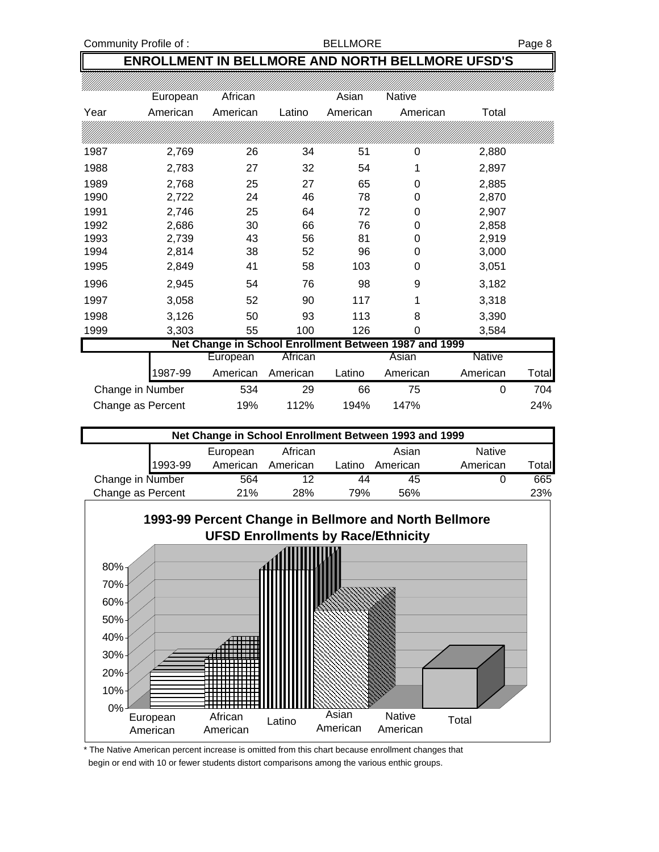Community Profile of : The South of the BELLMORE Page 8

### **ENROLLMENT IN BELLMORE AND NORTH BELLMORE UFSD'S**

|      | European          | African  |          | Asian    | <b>Native</b>                                         |          |       |
|------|-------------------|----------|----------|----------|-------------------------------------------------------|----------|-------|
| Year | American          | American | Latino   | American | American                                              | Total    |       |
|      |                   |          |          |          |                                                       |          |       |
| 1987 | 2,769             | 26       | 34       | 51       | 0                                                     | 2,880    |       |
| 1988 | 2,783             | 27       | 32       | 54       | 1                                                     | 2,897    |       |
| 1989 | 2,768             | 25       | 27       | 65       | 0                                                     | 2,885    |       |
| 1990 | 2,722             | 24       | 46       | 78       | 0                                                     | 2,870    |       |
| 1991 | 2,746             | 25       | 64       | 72       | 0                                                     | 2,907    |       |
| 1992 | 2,686             | 30       | 66       | 76       | 0                                                     | 2,858    |       |
| 1993 | 2,739             | 43       | 56       | 81       | 0                                                     | 2,919    |       |
| 1994 | 2,814             | 38       | 52       | 96       | 0                                                     | 3,000    |       |
| 1995 | 2,849             | 41       | 58       | 103      | 0                                                     | 3,051    |       |
| 1996 | 2,945             | 54       | 76       | 98       | 9                                                     | 3,182    |       |
| 1997 | 3,058             | 52       | 90       | 117      | 1                                                     | 3,318    |       |
| 1998 | 3,126             | 50       | 93       | 113      | 8                                                     | 3,390    |       |
| 1999 | 3,303             | 55       | 100      | 126      | 0                                                     | 3,584    |       |
|      |                   |          |          |          | Net Change in School Enrollment Between 1987 and 1999 |          |       |
|      |                   | European | African  |          | Asian                                                 | Native   |       |
|      | 1987-99           | American | American | Latino   | American                                              | American | Total |
|      | Change in Number  | 534      | 29       | 66       | 75                                                    | 0        | 704   |
|      | Change as Percent | 19%      | 112%     | 194%     | 147%                                                  |          | 24%   |

| Net Change in School Enrollment Between 1993 and 1999 |         |          |          |        |          |               |        |
|-------------------------------------------------------|---------|----------|----------|--------|----------|---------------|--------|
|                                                       |         | European | African  |        | Asian    | <b>Native</b> |        |
|                                                       | 1993-99 | American | American | Latino | American | American      | Γotal∎ |
| Change in Number                                      |         | 564      | 12       | 44     | 45       |               | 665    |
| Change as Percent                                     |         | 21%      | 28%      | 79%    | 56%      |               | 23%    |



\* The Native American percent increase is omitted from this chart because enrollment changes that begin or end with 10 or fewer students distort comparisons among the various enthic groups.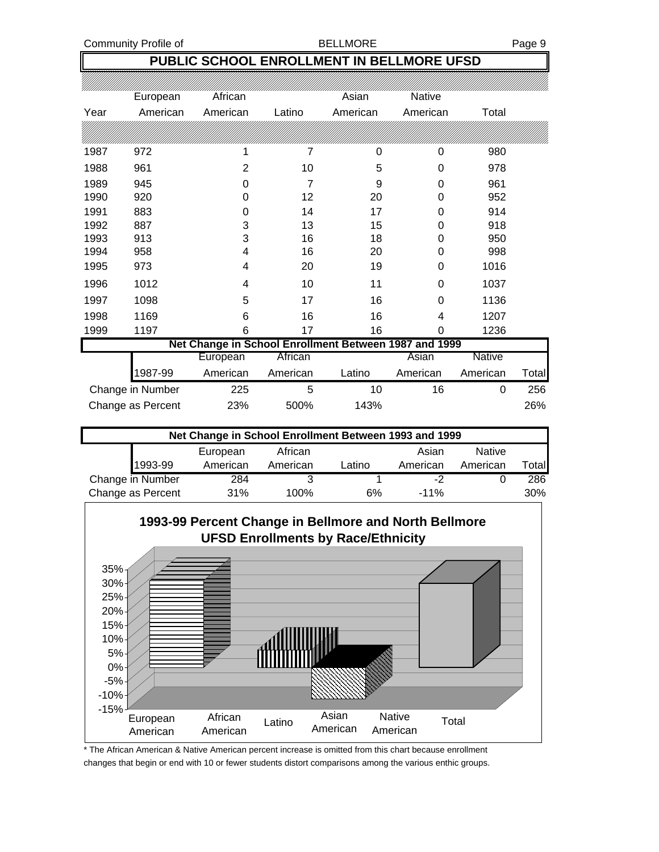Community Profile of **BELLMORE BELLMORE Page 9** 

### **PUBLIC SCHOOL ENROLLMENT IN BELLMORE UFSD**

|      | European          | African                                               |          | Asian    | Native   |          |       |
|------|-------------------|-------------------------------------------------------|----------|----------|----------|----------|-------|
| Year | American          | American                                              | Latino   | American | American | Total    |       |
|      |                   |                                                       |          |          |          |          |       |
| 1987 | 972               | 1                                                     | 7        | 0        | 0        | 980      |       |
| 1988 | 961               | $\overline{2}$                                        | 10       | 5        | 0        | 978      |       |
| 1989 | 945               | 0                                                     | 7        | 9        | 0        | 961      |       |
| 1990 | 920               | 0                                                     | 12       | 20       | 0        | 952      |       |
| 1991 | 883               | 0                                                     | 14       | 17       | 0        | 914      |       |
| 1992 | 887               | 3                                                     | 13       | 15       | 0        | 918      |       |
| 1993 | 913               | 3                                                     | 16       | 18       | 0        | 950      |       |
| 1994 | 958               | 4                                                     | 16       | 20       | 0        | 998      |       |
| 1995 | 973               | 4                                                     | 20       | 19       | 0        | 1016     |       |
| 1996 | 1012              | 4                                                     | 10       | 11       | 0        | 1037     |       |
| 1997 | 1098              | 5                                                     | 17       | 16       | 0        | 1136     |       |
| 1998 | 1169              | 6                                                     | 16       | 16       | 4        | 1207     |       |
| 1999 | 1197              | 6                                                     | 17       | 16       | 0        | 1236     |       |
|      |                   | Net Change in School Enrollment Between 1987 and 1999 |          |          |          |          |       |
|      |                   | European                                              | African  |          | Asian    | Native   |       |
|      | 1987-99           | American                                              | American | Latino   | American | American | Total |
|      | Change in Number  | 225                                                   | 5        | 10       | 16       | 0        | 256   |
|      | Change as Percent | 23%                                                   | 500%     | 143%     |          |          | 26%   |

| Net Change in School Enrollment Between 1993 and 1999 |          |          |        |          |               |        |  |  |
|-------------------------------------------------------|----------|----------|--------|----------|---------------|--------|--|--|
|                                                       | European | African  |        | Asian    | <b>Native</b> |        |  |  |
| 1993-99                                               | American | American | _atino | American | American      | Totall |  |  |
| Change in Number                                      | 284      | 3        |        | -2       |               | 286    |  |  |
| Change as Percent                                     | 31%      | 100%     | 6%     | $-11%$   |               | 30%    |  |  |



\* The African American & Native American percent increase is omitted from this chart because enrollment changes that begin or end with 10 or fewer students distort comparisons among the various enthic groups.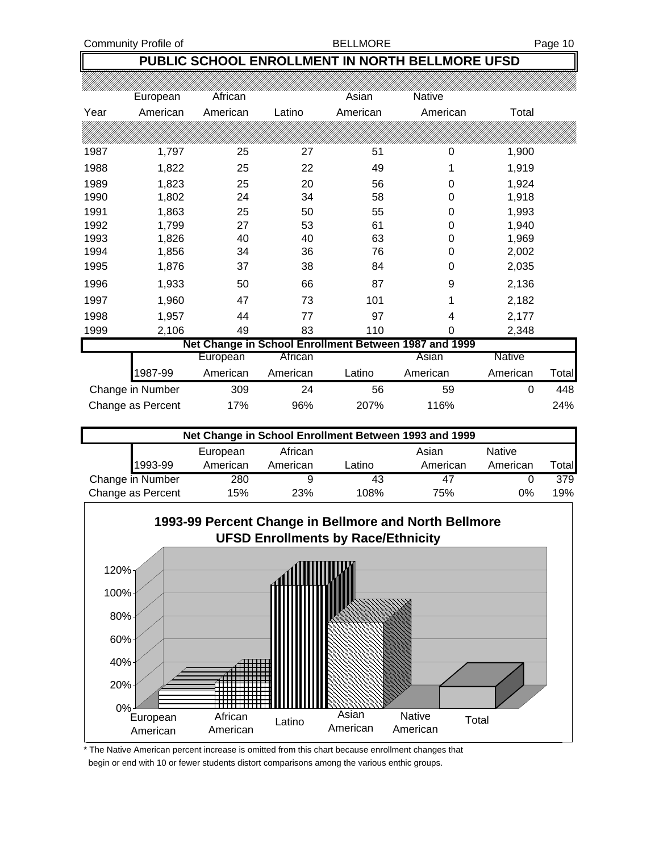### **PUBLIC SCHOOL ENROLLMENT IN NORTH BELLMORE UFSD**

|      | European          | African  |          | Asian    | Native                                                |          |              |
|------|-------------------|----------|----------|----------|-------------------------------------------------------|----------|--------------|
| Year | American          | American | Latino   | American | American                                              | Total    |              |
|      |                   |          |          |          |                                                       |          |              |
| 1987 | 1,797             | 25       | 27       | 51       | 0                                                     | 1,900    |              |
| 1988 | 1,822             | 25       | 22       | 49       | 1                                                     | 1,919    |              |
| 1989 | 1,823             | 25       | 20       | 56       | 0                                                     | 1,924    |              |
| 1990 | 1,802             | 24       | 34       | 58       | 0                                                     | 1,918    |              |
| 1991 | 1,863             | 25       | 50       | 55       | 0                                                     | 1,993    |              |
| 1992 | 1,799             | 27       | 53       | 61       | 0                                                     | 1,940    |              |
| 1993 | 1,826             | 40       | 40       | 63       | 0                                                     | 1,969    |              |
| 1994 | 1,856             | 34       | 36       | 76       | 0                                                     | 2,002    |              |
| 1995 | 1,876             | 37       | 38       | 84       | 0                                                     | 2,035    |              |
| 1996 | 1,933             | 50       | 66       | 87       | 9                                                     | 2,136    |              |
| 1997 | 1,960             | 47       | 73       | 101      |                                                       | 2,182    |              |
| 1998 | 1,957             | 44       | 77       | 97       | 4                                                     | 2,177    |              |
| 1999 | 2,106             | 49       | 83       | 110      | 0                                                     | 2,348    |              |
|      |                   |          |          |          | Net Change in School Enrollment Between 1987 and 1999 |          |              |
|      |                   | European | African  |          | Asian                                                 | Native   |              |
|      | 1987-99           | American | American | Latino   | American                                              | American | <b>Total</b> |
|      | Change in Number  | 309      | 24       | 56       | 59                                                    | 0        | 448          |
|      | Change as Percent | 17%      | 96%      | 207%     | 116%                                                  |          | 24%          |

| Net Change in School Enrollment Between 1993 and 1999 |          |            |        |          |               |       |  |  |  |
|-------------------------------------------------------|----------|------------|--------|----------|---------------|-------|--|--|--|
|                                                       | European | African    |        | Asian    | <b>Native</b> |       |  |  |  |
| 1993-99                                               | American | American   | Latino | American | American      | Total |  |  |  |
| Change in Number                                      | 280      | 9          | 43     | 47       |               | 379   |  |  |  |
| Change as Percent                                     | 15%      | <b>23%</b> | 108%   | 75%      | 0%            | 19%   |  |  |  |



\* The Native American percent increase is omitted from this chart because enrollment changes that begin or end with 10 or fewer students distort comparisons among the various enthic groups.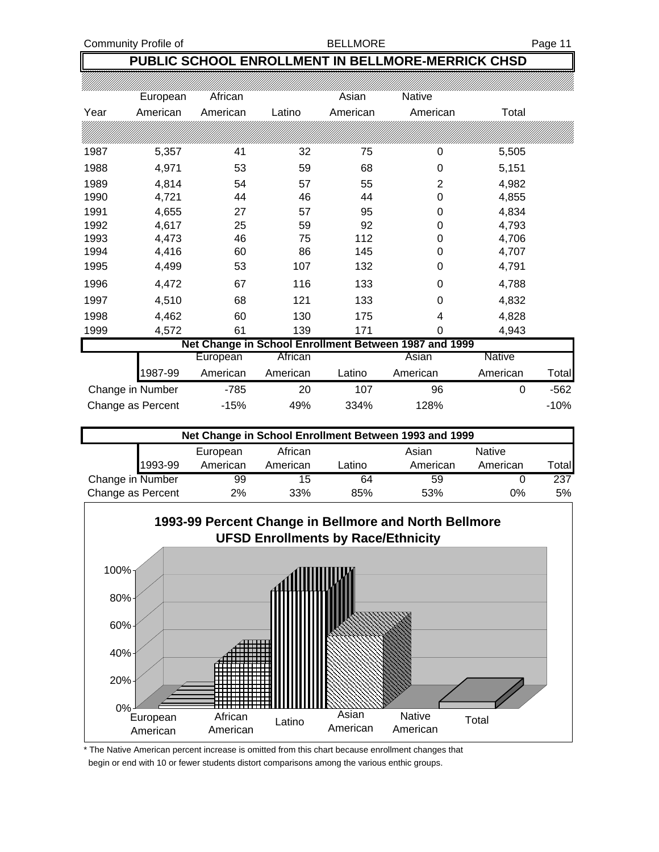### **PUBLIC SCHOOL ENROLLMENT IN BELLMORE-MERRICK CHSD**

|                                                       | European | African  |          | Asian    | Native           |               |        |  |  |
|-------------------------------------------------------|----------|----------|----------|----------|------------------|---------------|--------|--|--|
| Year                                                  | American | American | Latino   | American | American         | Total         |        |  |  |
|                                                       |          |          |          |          |                  |               |        |  |  |
| 1987                                                  | 5,357    | 41       | 32       | 75       | 0                | 5,505         |        |  |  |
| 1988                                                  | 4,971    | 53       | 59       | 68       | $\mathbf 0$      | 5,151         |        |  |  |
| 1989                                                  | 4,814    | 54       | 57       | 55       | $\overline{2}$   | 4,982         |        |  |  |
| 1990                                                  | 4,721    | 44       | 46       | 44       | $\boldsymbol{0}$ | 4,855         |        |  |  |
| 1991                                                  | 4,655    | 27       | 57       | 95       | $\boldsymbol{0}$ | 4,834         |        |  |  |
| 1992                                                  | 4,617    | 25       | 59       | 92       | 0                | 4,793         |        |  |  |
| 1993                                                  | 4,473    | 46       | 75       | 112      | 0                | 4,706         |        |  |  |
| 1994                                                  | 4,416    | 60       | 86       | 145      | 0                | 4,707         |        |  |  |
| 1995                                                  | 4,499    | 53       | 107      | 132      | 0                | 4,791         |        |  |  |
| 1996                                                  | 4,472    | 67       | 116      | 133      | 0                | 4,788         |        |  |  |
| 1997                                                  | 4,510    | 68       | 121      | 133      | 0                | 4,832         |        |  |  |
| 1998                                                  | 4,462    | 60       | 130      | 175      | 4                | 4,828         |        |  |  |
| 1999                                                  | 4,572    | 61       | 139      | 171      | 0                | 4,943         |        |  |  |
| Net Change in School Enrollment Between 1987 and 1999 |          |          |          |          |                  |               |        |  |  |
|                                                       |          | European | African  |          | Asian            | <b>Native</b> |        |  |  |
|                                                       | 1987-99  | American | American | Latino   | American         | American      | Total  |  |  |
| Change in Number                                      |          | $-785$   | 20       | 107      | 96               | 0             | $-562$ |  |  |
| Change as Percent                                     |          | $-15%$   | 49%      | 334%     | 128%             |               | $-10%$ |  |  |

| Net Change in School Enrollment Between 1993 and 1999 |          |          |        |          |               |       |  |  |  |
|-------------------------------------------------------|----------|----------|--------|----------|---------------|-------|--|--|--|
|                                                       | European | African  |        | Asian    | <b>Native</b> |       |  |  |  |
| 1993-99                                               | American | American | Latino | American | American      | Total |  |  |  |
| Change in Number                                      | 99       | 15       | 64     | 59       |               | 237   |  |  |  |
| Change as Percent                                     | 2%       | 33%      | 85%    | 53%      | 0%            | 5%    |  |  |  |



\* The Native American percent increase is omitted from this chart because enrollment changes that begin or end with 10 or fewer students distort comparisons among the various enthic groups.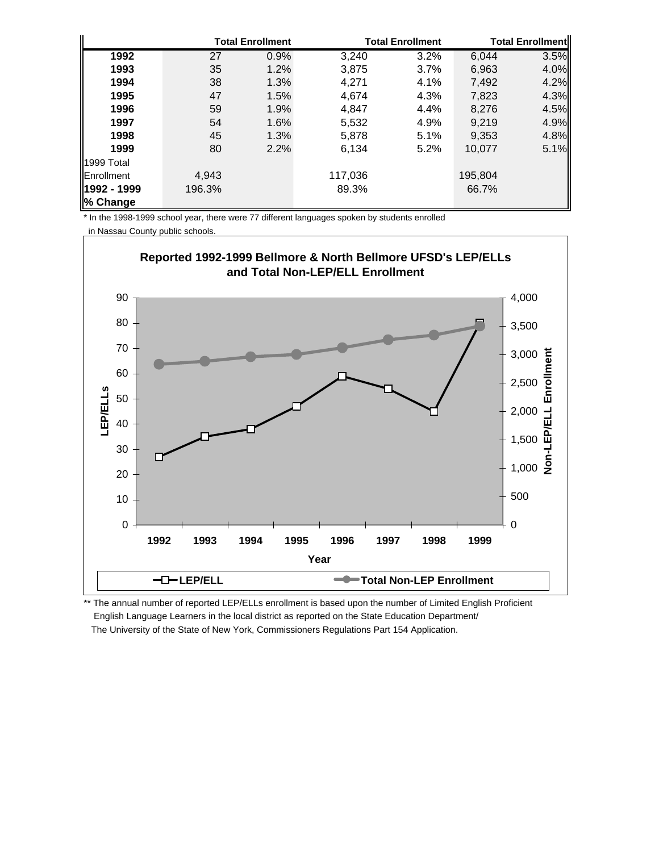|                    |        | <b>Total Enrollment</b> |         | <b>Total Enrollment</b> |         | <b>Total Enrollmentl</b> |  |
|--------------------|--------|-------------------------|---------|-------------------------|---------|--------------------------|--|
| 1992               | 27     | 0.9%                    | 3,240   | 3.2%                    | 6,044   | 3.5%                     |  |
| 1993               | 35     | 1.2%                    | 3,875   | 3.7%                    | 6,963   | 4.0%                     |  |
| 1994               | 38     | 1.3%                    | 4.271   | 4.1%                    | 7,492   | 4.2%                     |  |
| 1995               | 47     | 1.5%                    | 4.674   | 4.3%                    | 7,823   | 4.3%                     |  |
| 1996               | 59     | 1.9%                    | 4.847   | 4.4%                    | 8,276   | 4.5%                     |  |
| 1997               | 54     | 1.6%                    | 5,532   | 4.9%                    | 9.219   | 4.9%                     |  |
| 1998               | 45     | 1.3%                    | 5,878   | 5.1%                    | 9,353   | 4.8%                     |  |
| 1999               | 80     | 2.2%                    | 6,134   | 5.2%                    | 10,077  | 5.1%                     |  |
| 1999 Total         |        |                         |         |                         |         |                          |  |
| <b>IEnrollment</b> | 4,943  |                         | 117,036 |                         | 195,804 |                          |  |
| 1992 - 1999        | 196.3% |                         | 89.3%   |                         | 66.7%   |                          |  |
| % Change           |        |                         |         |                         |         |                          |  |

\* In the 1998-1999 school year, there were 77 different languages spoken by students enrolled

in Nassau County public schools.



\*\* The annual number of reported LEP/ELLs enrollment is based upon the number of Limited English Proficient English Language Learners in the local district as reported on the State Education Department/ The University of the State of New York, Commissioners Regulations Part 154 Application.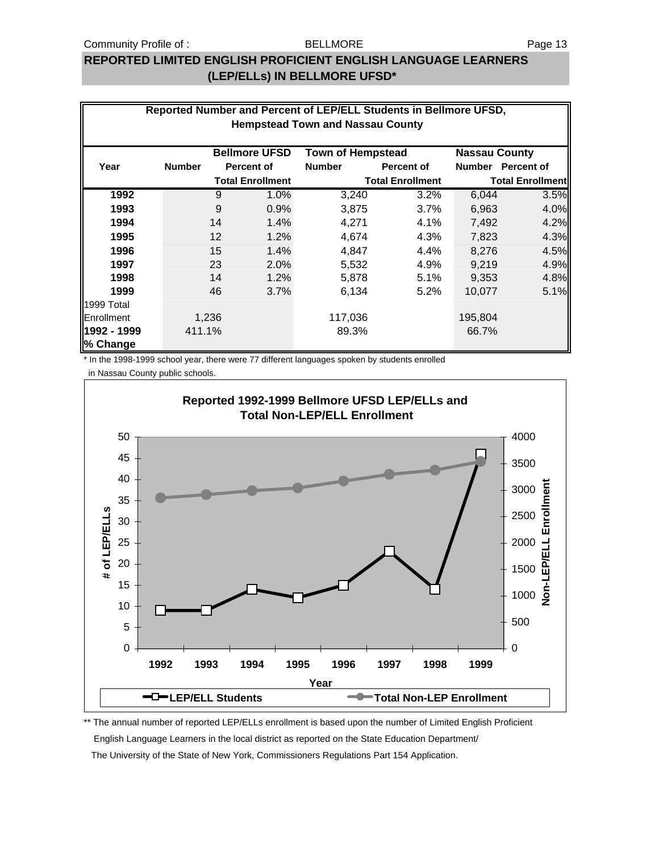### **REPORTED LIMITED ENGLISH PROFICIENT ENGLISH LANGUAGE LEARNERS (LEP/ELLs) IN BELLMORE UFSD\***

| Reported Number and Percent of LEP/ELL Students in Bellmore UFSD,<br><b>Hempstead Town and Nassau County</b> |               |       |                         |                          |                         |                         |                   |  |
|--------------------------------------------------------------------------------------------------------------|---------------|-------|-------------------------|--------------------------|-------------------------|-------------------------|-------------------|--|
|                                                                                                              |               |       | <b>Bellmore UFSD</b>    | <b>Town of Hempstead</b> |                         | <b>Nassau County</b>    |                   |  |
| Year                                                                                                         | <b>Number</b> |       | <b>Percent of</b>       | <b>Number</b>            | Percent of              |                         | Number Percent of |  |
|                                                                                                              |               |       | <b>Total Enrollment</b> |                          | <b>Total Enrollment</b> | <b>Total Enrollment</b> |                   |  |
| 1992                                                                                                         |               | 9     | 1.0%                    | 3,240                    | 3.2%                    | 6,044                   | 3.5%              |  |
| 1993                                                                                                         |               | 9     | 0.9%                    | 3,875                    | 3.7%                    | 6,963                   | 4.0%              |  |
| 1994                                                                                                         |               | 14    | 1.4%                    | 4,271                    | 4.1%                    | 7,492                   | 4.2%              |  |
| 1995                                                                                                         |               | 12    | 1.2%                    | 4,674                    | 4.3%                    | 7,823                   | 4.3%              |  |
| 1996                                                                                                         |               | 15    | 1.4%                    | 4,847                    | 4.4%                    | 8.276                   | 4.5%              |  |
| 1997                                                                                                         |               | 23    | 2.0%                    | 5,532                    | 4.9%                    | 9,219                   | 4.9%              |  |
| 1998                                                                                                         |               | 14    | 1.2%                    | 5,878                    | 5.1%                    | 9,353                   | 4.8%              |  |
| 1999                                                                                                         |               | 46    | 3.7%                    | 6,134                    | 5.2%                    | 10,077                  | 5.1%              |  |
| 1999 Total                                                                                                   |               |       |                         |                          |                         |                         |                   |  |
| Enrollment                                                                                                   |               | 1,236 |                         | 117,036                  |                         | 195,804                 |                   |  |
| 1992 - 1999<br>% Change                                                                                      | 411.1%        |       |                         | 89.3%                    |                         | 66.7%                   |                   |  |

\* In the 1998-1999 school year, there were 77 different languages spoken by students enrolled

in Nassau County public schools.



\*\* The annual number of reported LEP/ELLs enrollment is based upon the number of Limited English Proficient English Language Learners in the local district as reported on the State Education Department/ The University of the State of New York, Commissioners Regulations Part 154 Application.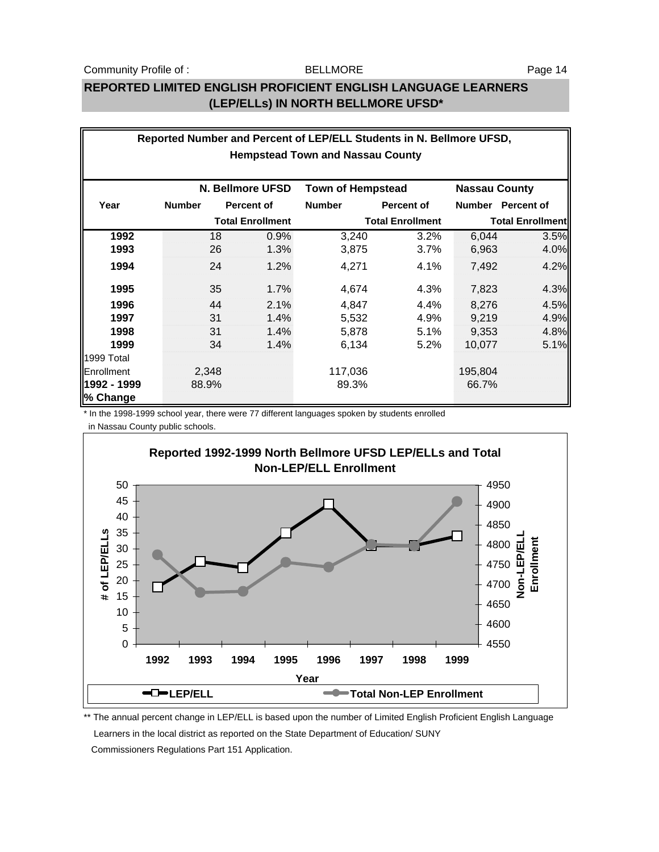### **REPORTED LIMITED ENGLISH PROFICIENT ENGLISH LANGUAGE LEARNERS (LEP/ELLs) IN NORTH BELLMORE UFSD\***

|             |               |    |                         | Reported Number and Percent of LEP/ELL Students in N. Bellmore UFSD, |                         |                      |                         |
|-------------|---------------|----|-------------------------|----------------------------------------------------------------------|-------------------------|----------------------|-------------------------|
|             |               |    |                         | <b>Hempstead Town and Nassau County</b>                              |                         |                      |                         |
|             |               |    | N. Bellmore UFSD        | <b>Town of Hempstead</b>                                             |                         | <b>Nassau County</b> |                         |
|             |               |    |                         |                                                                      |                         |                      |                         |
| Year        | <b>Number</b> |    | Percent of              | <b>Number</b>                                                        | <b>Percent of</b>       | Number               | <b>Percent of</b>       |
|             |               |    | <b>Total Enrollment</b> |                                                                      | <b>Total Enrollment</b> |                      | <b>Total Enrollment</b> |
| 1992        |               | 18 | 0.9%                    | 3,240                                                                | 3.2%                    | 6,044                | 3.5%                    |
| 1993        |               | 26 | 1.3%                    | 3,875                                                                | 3.7%                    | 6,963                | 4.0%                    |
| 1994        |               | 24 | 1.2%                    | 4,271                                                                | 4.1%                    | 7,492                | 4.2%                    |
| 1995        |               | 35 | 1.7%                    | 4,674                                                                | 4.3%                    | 7,823                | 4.3%                    |
| 1996        |               | 44 | 2.1%                    | 4,847                                                                | 4.4%                    | 8,276                | 4.5%                    |
| 1997        |               | 31 | 1.4%                    | 5,532                                                                | 4.9%                    | 9,219                | 4.9%                    |
| 1998        |               | 31 | 1.4%                    | 5,878                                                                | 5.1%                    | 9,353                | 4.8%                    |
| 1999        |               | 34 | 1.4%                    | 6,134                                                                | 5.2%                    | 10,077               | 5.1%                    |
| 1999 Total  |               |    |                         |                                                                      |                         |                      |                         |
| Enrollment  | 2,348         |    |                         | 117,036                                                              |                         | 195,804              |                         |
| 1992 - 1999 | 88.9%         |    |                         | 89.3%                                                                |                         | 66.7%                |                         |
| % Change    |               |    |                         |                                                                      |                         |                      |                         |

\* In the 1998-1999 school year, there were 77 different languages spoken by students enrolled

in Nassau County public schools.



\*\* The annual percent change in LEP/ELL is based upon the number of Limited English Proficient English Language Learners in the local district as reported on the State Department of Education/ SUNY Commissioners Regulations Part 151 Application.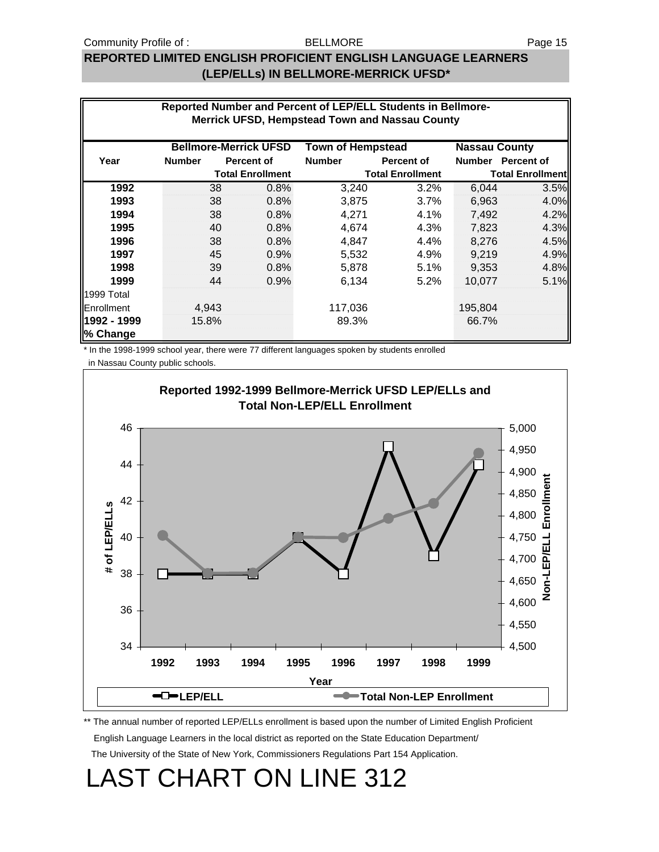### BELLMORE

### **REPORTED LIMITED ENGLISH PROFICIENT ENGLISH LANGUAGE LEARNERS (LEP/ELLs) IN BELLMORE-MERRICK UFSD\***

|             |               |                              | Reported Number and Percent of LEP/ELL Students in Bellmore-<br><b>Merrick UFSD, Hempstead Town and Nassau County</b> |                         |                         |                   |
|-------------|---------------|------------------------------|-----------------------------------------------------------------------------------------------------------------------|-------------------------|-------------------------|-------------------|
|             |               |                              |                                                                                                                       |                         |                         |                   |
|             |               | <b>Bellmore-Merrick UFSD</b> | <b>Town of Hempstead</b>                                                                                              |                         | <b>Nassau County</b>    |                   |
| Year        | <b>Number</b> | Percent of                   | <b>Number</b>                                                                                                         | Percent of              |                         | Number Percent of |
|             |               | <b>Total Enrollment</b>      |                                                                                                                       | <b>Total Enrollment</b> | <b>Total Enrollment</b> |                   |
| 1992        | 38            | 0.8%                         | 3,240                                                                                                                 | 3.2%                    | 6,044                   | 3.5%              |
| 1993        | 38            | 0.8%                         | 3,875                                                                                                                 | 3.7%                    | 6,963                   | 4.0%              |
| 1994        | 38            | 0.8%                         | 4,271                                                                                                                 | 4.1%                    | 7,492                   | 4.2%              |
| 1995        | 40            | 0.8%                         | 4,674                                                                                                                 | 4.3%                    | 7,823                   | 4.3%              |
| 1996        | 38            | 0.8%                         | 4,847                                                                                                                 | 4.4%                    | 8,276                   | 4.5%              |
| 1997        | 45            | 0.9%                         | 5,532                                                                                                                 | 4.9%                    | 9,219                   | 4.9%              |
| 1998        | 39            | 0.8%                         | 5,878                                                                                                                 | 5.1%                    | 9,353                   | 4.8%              |
| 1999        | 44            | 0.9%                         | 6,134                                                                                                                 | 5.2%                    | 10.077                  | 5.1%              |
| 1999 Total  |               |                              |                                                                                                                       |                         |                         |                   |
| Enrollment  | 4,943         |                              | 117,036                                                                                                               |                         | 195,804                 |                   |
| 1992 - 1999 | 15.8%         |                              | 89.3%                                                                                                                 |                         | 66.7%                   |                   |
| % Change    |               |                              |                                                                                                                       |                         |                         |                   |

\* In the 1998-1999 school year, there were 77 different languages spoken by students enrolled

in Nassau County public schools.



\*\* The annual number of reported LEP/ELLs enrollment is based upon the number of Limited English Proficient English Language Learners in the local district as reported on the State Education Department/

The University of the State of New York, Commissioners Regulations Part 154 Application.

# LAST CHART ON LINE 312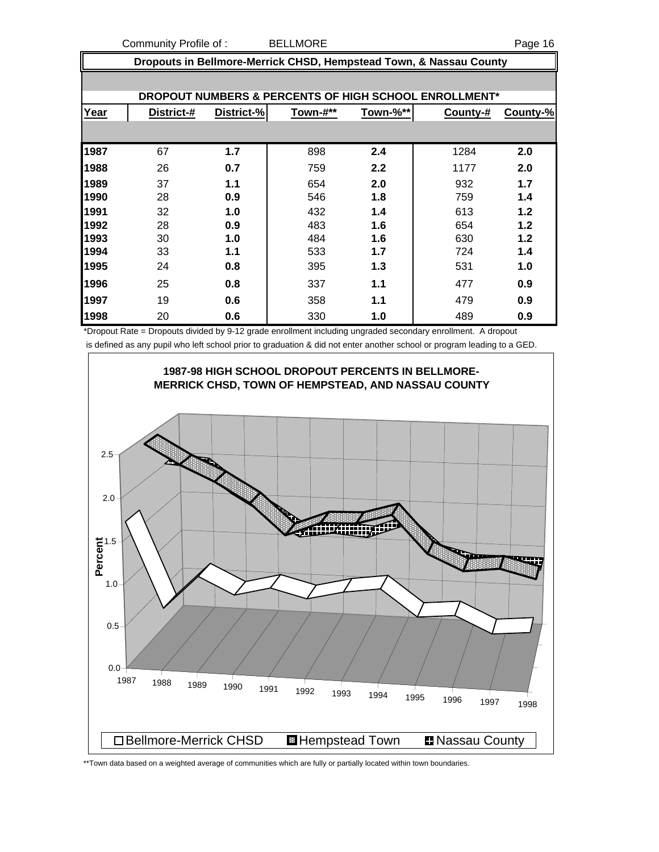Community Profile of : BELLMORE **Page 16** 

 **Dropouts in Bellmore-Merrick CHSD, Hempstead Town, & Nassau County DROPOUT NUMBERS & PERCENTS OF HIGH SCHOOL ENROLLMENT\* Year District-# District-% Town-#\*\* Town-%\*\* County-# County-%** 67 **1.7** 898 **2.4** 1284 **2.0** 26 **0.7** 759 **2.2** 1177 **2.0** 37 **1.1** 654 **2.0** 932 **1.7** 28 **0.9** 546 **1.8** 759 **1.4** 32 **1.0** 432 **1.4** 613 **1.2** 28 **0.9** 483 **1.6** 654 **1.2** 30 **1.0** 484 **1.6** 630 **1.2** 33 **1.1** 533 **1.7** 724 **1.4** 24 **0.8** 395 **1.3** 531 **1.0** 25 **0.8** 337 **1.1** 477 **0.9** 19 **0.6** 358 **1.1** 479 **0.9** 20 **0.6** 330 **1.0** 489 **0.9**

\*Dropout Rate = Dropouts divided by 9-12 grade enrollment including ungraded secondary enrollment. A dropout is defined as any pupil who left school prior to graduation & did not enter another school or program leading to a GED.



\*\*Town data based on a weighted average of communities which are fully or partially located within town boundaries.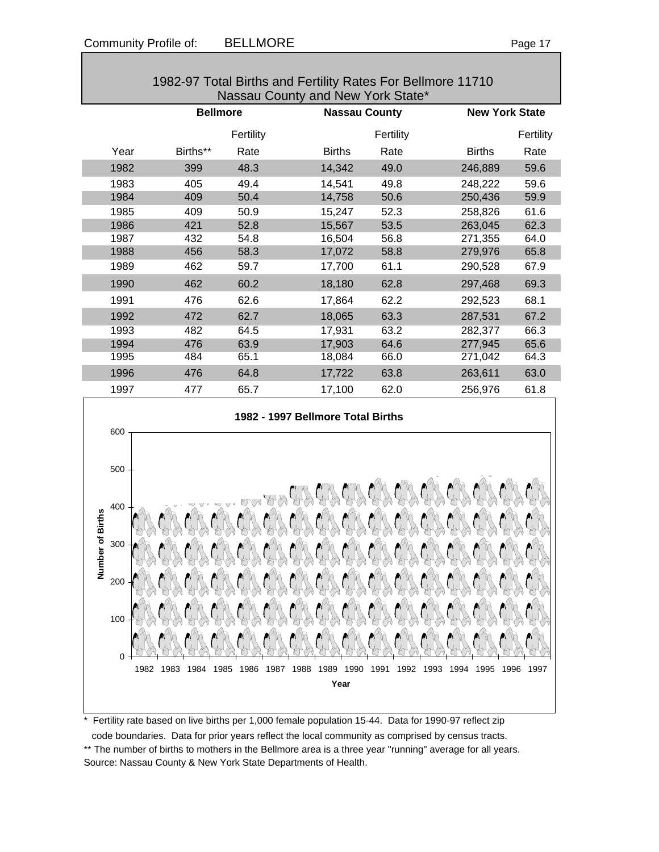0

|                  |            |                 |           | <u>TUCCI DITTIS ANU ESTINY INAIGS FOR DEMINUE THE TU</u><br>Nassau County and New York State* |           |                       |           |
|------------------|------------|-----------------|-----------|-----------------------------------------------------------------------------------------------|-----------|-----------------------|-----------|
|                  |            | <b>Bellmore</b> |           | <b>Nassau County</b>                                                                          |           | <b>New York State</b> |           |
|                  |            |                 | Fertility |                                                                                               | Fertility |                       | Fertility |
|                  | Year       | Births**        | Rate      | <b>Births</b>                                                                                 | Rate      | <b>Births</b>         | Rate      |
|                  | 1982       | 399             | 48.3      | 14,342                                                                                        | 49.0      | 246,889               | 59.6      |
|                  | 1983       | 405             | 49.4      | 14,541                                                                                        | 49.8      | 248,222               | 59.6      |
|                  | 1984       | 409             | 50.4      | 14,758                                                                                        | 50.6      | 250,436               | 59.9      |
|                  | 1985       | 409             | 50.9      | 15,247                                                                                        | 52.3      | 258,826               | 61.6      |
|                  | 1986       | 421             | 52.8      | 15,567                                                                                        | 53.5      | 263,045               | 62.3      |
|                  | 1987       | 432             | 54.8      | 16,504                                                                                        | 56.8      | 271,355               | 64.0      |
|                  | 1988       | 456             | 58.3      | 17,072                                                                                        | 58.8      | 279,976               | 65.8      |
|                  | 1989       | 462             | 59.7      | 17,700                                                                                        | 61.1      | 290,528               | 67.9      |
|                  | 1990       | 462             | 60.2      | 18,180                                                                                        | 62.8      | 297,468               | 69.3      |
|                  | 1991       | 476             | 62.6      | 17,864                                                                                        | 62.2      | 292,523               | 68.1      |
|                  | 1992       | 472             | 62.7      | 18,065                                                                                        | 63.3      | 287,531               | 67.2      |
|                  | 1993       | 482             | 64.5      | 17,931                                                                                        | 63.2      | 282,377               | 66.3      |
|                  | 1994       | 476             | 63.9      | 17,903                                                                                        | 64.6      | 277,945               | 65.6      |
|                  | 1995       | 484             | 65.1      | 18,084                                                                                        | 66.0      | 271,042               | 64.3      |
|                  | 1996       | 476             | 64.8      | 17,722                                                                                        | 63.8      | 263,611               | 63.0      |
|                  | 1997       | 477             | 65.7      | 17,100                                                                                        | 62.0      | 256,976               | 61.8      |
|                  | 600        |                 |           | 1982 - 1997 Bellmore Total Births                                                             |           |                       |           |
|                  | 500        |                 |           |                                                                                               |           |                       |           |
| Number of Births | 400<br>300 |                 |           |                                                                                               |           |                       |           |
|                  | 200<br>100 |                 |           |                                                                                               |           |                       |           |

1982-97 Total Births and Fertility Rates For Bell

\* Fertility rate based on live births per 1,000 female population 15-44. Data for 1990-97 reflect zip code boundaries. Data for prior years reflect the local community as comprised by census tracts. \*\* The number of births to mothers in the Bellmore area is a three year "running" average for all years. Source: Nassau County & New York State Departments of Health.

1982 1983 1984 1985 1986 1987 1988 1989 1990 1991 1992 1993 1994 1995 1996 1997 **Year**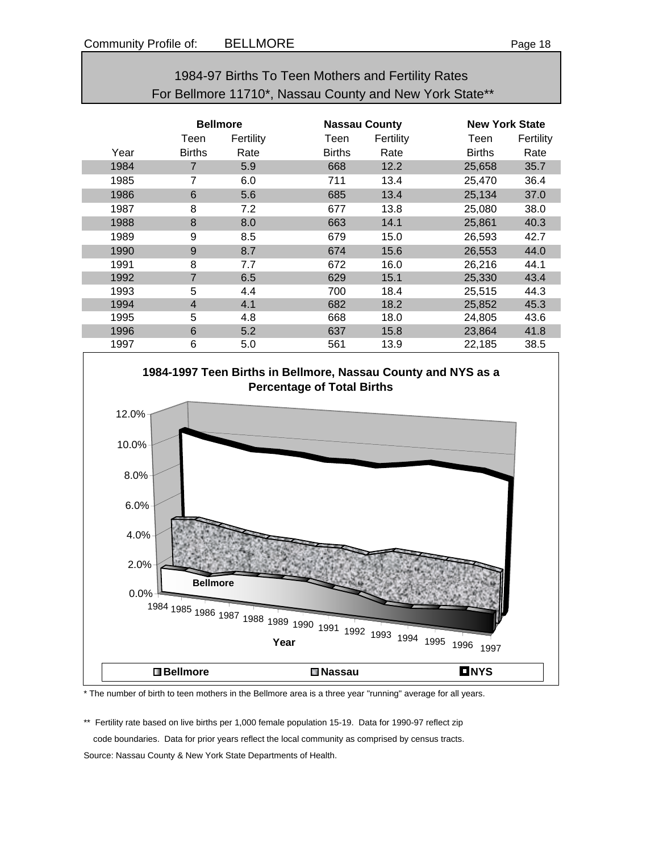| 1984-97 Births To Teen Mothers and Fertility Rates      |
|---------------------------------------------------------|
| For Bellmore 11710*, Nassau County and New York State** |

|      | <b>Bellmore</b> |           | <b>Nassau County</b> |           |               | <b>New York State</b> |  |  |
|------|-----------------|-----------|----------------------|-----------|---------------|-----------------------|--|--|
|      | Teen            | Fertility | Teen                 | Fertility | Teen          | Fertility             |  |  |
| Year | <b>Births</b>   | Rate      | <b>Births</b>        | Rate      | <b>Births</b> | Rate                  |  |  |
| 1984 | $\overline{7}$  | 5.9       | 668                  | 12.2      | 25,658        | 35.7                  |  |  |
| 1985 | 7               | 6.0       | 711                  | 13.4      | 25,470        | 36.4                  |  |  |
| 1986 | 6               | 5.6       | 685                  | 13.4      | 25,134        | 37.0                  |  |  |
| 1987 | 8               | 7.2       | 677                  | 13.8      | 25,080        | 38.0                  |  |  |
| 1988 | 8               | 8.0       | 663                  | 14.1      | 25,861        | 40.3                  |  |  |
| 1989 | 9               | 8.5       | 679                  | 15.0      | 26,593        | 42.7                  |  |  |
| 1990 | 9               | 8.7       | 674                  | 15.6      | 26,553        | 44.0                  |  |  |
| 1991 | 8               | 7.7       | 672                  | 16.0      | 26,216        | 44.1                  |  |  |
| 1992 | 7               | 6.5       | 629                  | 15.1      | 25,330        | 43.4                  |  |  |
| 1993 | 5               | 4.4       | 700                  | 18.4      | 25,515        | 44.3                  |  |  |
| 1994 | $\overline{4}$  | 4.1       | 682                  | 18.2      | 25,852        | 45.3                  |  |  |
| 1995 | 5               | 4.8       | 668                  | 18.0      | 24,805        | 43.6                  |  |  |
| 1996 | 6               | 5.2       | 637                  | 15.8      | 23,864        | 41.8                  |  |  |
| 1997 | 6               | 5.0       | 561                  | 13.9      | 22,185        | 38.5                  |  |  |



\* The number of birth to teen mothers in the Bellmore area is a three year "running" average for all years.

\*\* Fertility rate based on live births per 1,000 female population 15-19. Data for 1990-97 reflect zip code boundaries. Data for prior years reflect the local community as comprised by census tracts. Source: Nassau County & New York State Departments of Health.